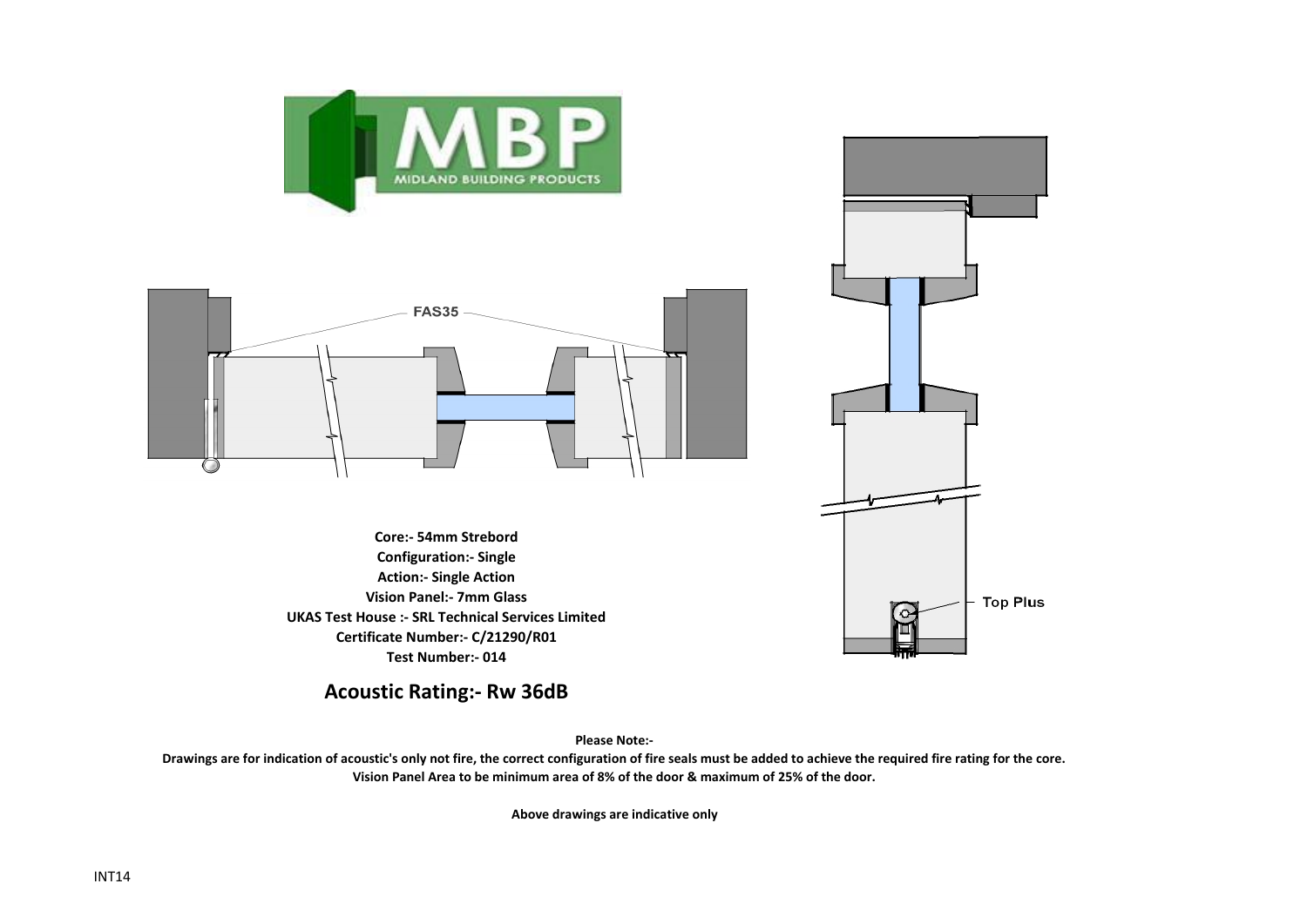



**Core:- 54mm Strebord Configuration:- Single Action:- Single Action Vision Panel:- 7mm Glass UKAS Test House :- SRL Technical Services Limited Certificate Number:- C/21290/R01 Test Number:- 014**

**Top Plus** 

**Acoustic Rating:- Rw 36dB**

**Please Note:-** 

**Drawings are for indication of acoustic's only not fire, the correct configuration of fire seals must be added to achieve the required fire rating for the core. Vision Panel Area to be minimum area of 8% of the door & maximum of 25% of the door.**

**Above drawings are indicative only**